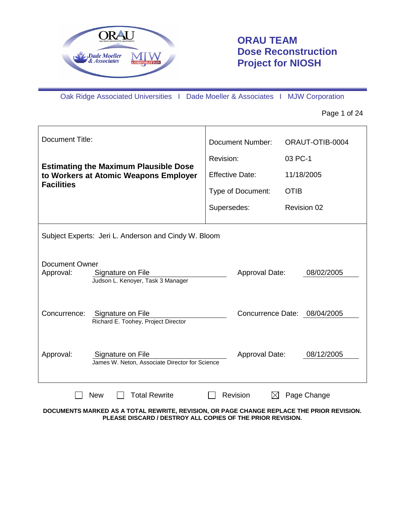

# **ORAU TEAM Dose Reconstruction Project for NIOSH**

Oak Ridge Associated Universities I Dade Moeller & Associates I MJW Corporation

Page 1 of 24

| Document Title:                                                                                                       |                                                                                           | <b>Document Number:</b> |                              | ORAUT-OTIB-0004 |                    |
|-----------------------------------------------------------------------------------------------------------------------|-------------------------------------------------------------------------------------------|-------------------------|------------------------------|-----------------|--------------------|
|                                                                                                                       |                                                                                           |                         | Revision:                    | 03 PC-1         |                    |
|                                                                                                                       | <b>Estimating the Maximum Plausible Dose</b><br>to Workers at Atomic Weapons Employer     | <b>Effective Date:</b>  |                              |                 | 11/18/2005         |
| <b>Facilities</b>                                                                                                     |                                                                                           |                         | Type of Document:            | <b>OTIB</b>     |                    |
|                                                                                                                       |                                                                                           | Supersedes:             |                              |                 | <b>Revision 02</b> |
| Subject Experts: Jeri L. Anderson and Cindy W. Bloom                                                                  |                                                                                           |                         |                              |                 |                    |
| Document Owner<br>Approval:<br>Signature on File<br>Approval Date:<br>08/02/2005<br>Judson L. Kenoyer, Task 3 Manager |                                                                                           |                         |                              |                 |                    |
| Concurrence:                                                                                                          | Signature on File<br>Richard E. Toohey, Project Director                                  |                         | Concurrence Date: 08/04/2005 |                 |                    |
| Approval:                                                                                                             | Signature on File<br>James W. Neton, Associate Director for Science                       |                         | Approval Date:               |                 | 08/12/2005         |
|                                                                                                                       | <b>Total Rewrite</b><br><b>New</b>                                                        |                         | Revision<br>$\boxtimes$      |                 | Page Change        |
|                                                                                                                       | DOCUMENTS MARKED AS A TOTAL REWRITE, REVISION, OR PAGE CHANGE REPLACE THE PRIOR REVISION. |                         |                              |                 |                    |

**PLEASE DISCARD / DESTROY ALL COPIES OF THE PRIOR REVISION.**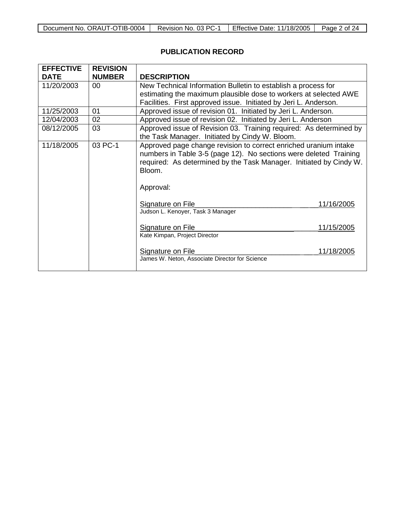| Document No. ORAUT-OTIB-0004 | Revision No. 03 PC- | <b>Effective Date: 11/18/2005</b> | Page ∠<br>$\gamma_{\varDelta}$<br>ੋ of ∠ੁ |
|------------------------------|---------------------|-----------------------------------|-------------------------------------------|

# **PUBLICATION RECORD**

| <b>EFFECTIVE</b> | <b>REVISION</b> |                                                                                                                                                                                                                                    |
|------------------|-----------------|------------------------------------------------------------------------------------------------------------------------------------------------------------------------------------------------------------------------------------|
| <b>DATE</b>      | <b>NUMBER</b>   | <b>DESCRIPTION</b>                                                                                                                                                                                                                 |
| 11/20/2003       | 00              | New Technical Information Bulletin to establish a process for                                                                                                                                                                      |
|                  |                 | estimating the maximum plausible dose to workers at selected AWE                                                                                                                                                                   |
|                  |                 | Facilities. First approved issue. Initiated by Jeri L. Anderson.                                                                                                                                                                   |
| 11/25/2003       | 01              | Approved issue of revision 01. Initiated by Jeri L. Anderson.                                                                                                                                                                      |
| 12/04/2003       | 02              | Approved issue of revision 02. Initiated by Jeri L. Anderson                                                                                                                                                                       |
| 08/12/2005       | 03              | Approved issue of Revision 03. Training required: As determined by                                                                                                                                                                 |
|                  |                 | the Task Manager. Initiated by Cindy W. Bloom.                                                                                                                                                                                     |
| 11/18/2005       | 03 PC-1         | Approved page change revision to correct enriched uranium intake<br>numbers in Table 3-5 (page 12). No sections were deleted Training<br>required: As determined by the Task Manager. Initiated by Cindy W.<br>Bloom.<br>Approval: |
|                  |                 | Signature on File<br>11/16/2005<br>Judson L. Kenoyer, Task 3 Manager                                                                                                                                                               |
|                  |                 | 11/15/2005<br><b>Signature on File</b><br>Kate Kimpan, Project Director                                                                                                                                                            |
|                  |                 | 11/18/2005<br>Signature on File<br>James W. Neton, Associate Director for Science                                                                                                                                                  |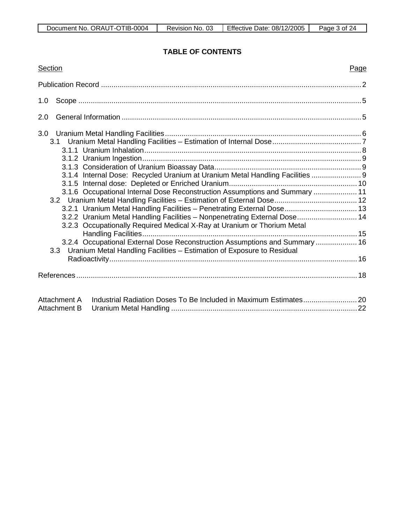## **TABLE OF CONTENTS**

| Section                                                                                                                                                                                                                                                                                                                                                                                                                                                                                                                                                     | Page |
|-------------------------------------------------------------------------------------------------------------------------------------------------------------------------------------------------------------------------------------------------------------------------------------------------------------------------------------------------------------------------------------------------------------------------------------------------------------------------------------------------------------------------------------------------------------|------|
|                                                                                                                                                                                                                                                                                                                                                                                                                                                                                                                                                             |      |
| 1.0                                                                                                                                                                                                                                                                                                                                                                                                                                                                                                                                                         |      |
| 2.0                                                                                                                                                                                                                                                                                                                                                                                                                                                                                                                                                         |      |
| 3.1.4 Internal Dose: Recycled Uranium at Uranium Metal Handling Facilities  9<br>3.1.6 Occupational Internal Dose Reconstruction Assumptions and Summary  11<br>3.2.1 Uranium Metal Handling Facilities - Penetrating External Dose 13<br>3.2.2 Uranium Metal Handling Facilities - Nonpenetrating External Dose 14<br>3.2.3 Occupationally Required Medical X-Ray at Uranium or Thorium Metal<br>3.2.4 Occupational External Dose Reconstruction Assumptions and Summary  16<br>3.3 Uranium Metal Handling Facilities - Estimation of Exposure to Residual |      |
|                                                                                                                                                                                                                                                                                                                                                                                                                                                                                                                                                             |      |
| Attachment A<br>Attachment B                                                                                                                                                                                                                                                                                                                                                                                                                                                                                                                                |      |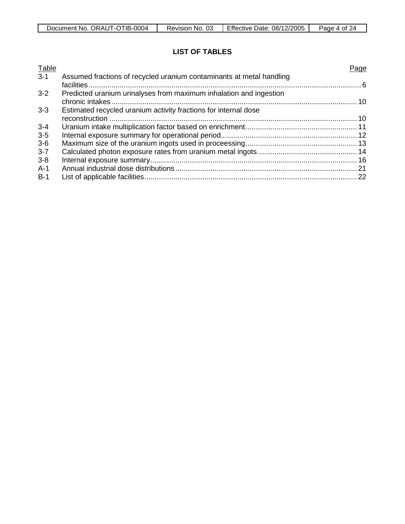| ORAUT-OTIB-0004<br>Document No. | 03<br>No.<br>Revision | Effective<br>Date: 08/12/2005 | Page<br>0t<br>'⁄Δ |
|---------------------------------|-----------------------|-------------------------------|-------------------|

# **LIST OF TABLES**

| Table   |                                                                      | Page |
|---------|----------------------------------------------------------------------|------|
| $3 - 1$ | Assumed fractions of recycled uranium contaminants at metal handling |      |
|         |                                                                      |      |
| $3 - 2$ | Predicted uranium urinalyses from maximum inhalation and ingestion   |      |
|         |                                                                      |      |
| $3 - 3$ | Estimated recycled uranium activity fractions for internal dose      |      |
|         |                                                                      |      |
| $3 - 4$ |                                                                      |      |
| $3 - 5$ |                                                                      |      |
| $3-6$   |                                                                      |      |
| $3 - 7$ |                                                                      |      |
| $3 - 8$ |                                                                      |      |
| $A-1$   |                                                                      |      |
| $B-1$   |                                                                      |      |
|         |                                                                      |      |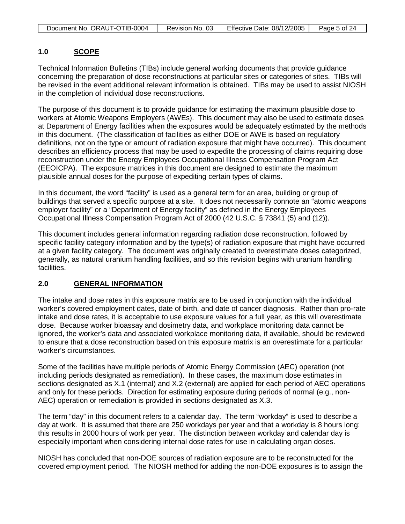### **1.0 SCOPE**

Technical Information Bulletins (TIBs) include general working documents that provide guidance concerning the preparation of dose reconstructions at particular sites or categories of sites. TIBs will be revised in the event additional relevant information is obtained. TIBs may be used to assist NIOSH in the completion of individual dose reconstructions.

The purpose of this document is to provide guidance for estimating the maximum plausible dose to workers at Atomic Weapons Employers (AWEs). This document may also be used to estimate doses at Department of Energy facilities when the exposures would be adequately estimated by the methods in this document. (The classification of facilities as either DOE or AWE is based on regulatory definitions, not on the type or amount of radiation exposure that might have occurred). This document describes an efficiency process that may be used to expedite the processing of claims requiring dose reconstruction under the Energy Employees Occupational Illness Compensation Program Act (EEOICPA). The exposure matrices in this document are designed to estimate the maximum plausible annual doses for the purpose of expediting certain types of claims.

In this document, the word "facility" is used as a general term for an area, building or group of buildings that served a specific purpose at a site. It does not necessarily connote an "atomic weapons employer facility" or a "Department of Energy facility" as defined in the Energy Employees Occupational Illness Compensation Program Act of 2000 (42 U.S.C. § 73841 (5) and (12)).

This document includes general information regarding radiation dose reconstruction, followed by specific facility category information and by the type(s) of radiation exposure that might have occurred at a given facility category. The document was originally created to overestimate doses categorized, generally, as natural uranium handling facilities, and so this revision begins with uranium handling facilities.

### **2.0 GENERAL INFORMATION**

The intake and dose rates in this exposure matrix are to be used in conjunction with the individual worker's covered employment dates, date of birth, and date of cancer diagnosis. Rather than pro-rate intake and dose rates, it is acceptable to use exposure values for a full year, as this will overestimate dose. Because worker bioassay and dosimetry data, and workplace monitoring data cannot be ignored, the worker's data and associated workplace monitoring data, if available, should be reviewed to ensure that a dose reconstruction based on this exposure matrix is an overestimate for a particular worker's circumstances.

Some of the facilities have multiple periods of Atomic Energy Commission (AEC) operation (not including periods designated as remediation). In these cases, the maximum dose estimates in sections designated as X.1 (internal) and X.2 (external) are applied for each period of AEC operations and only for these periods. Direction for estimating exposure during periods of normal (e.g., non-AEC) operation or remediation is provided in sections designated as X.3.

The term "day" in this document refers to a calendar day. The term "workday" is used to describe a day at work. It is assumed that there are 250 workdays per year and that a workday is 8 hours long: this results in 2000 hours of work per year. The distinction between workday and calendar day is especially important when considering internal dose rates for use in calculating organ doses.

NIOSH has concluded that non-DOE sources of radiation exposure are to be reconstructed for the covered employment period. The NIOSH method for adding the non-DOE exposures is to assign the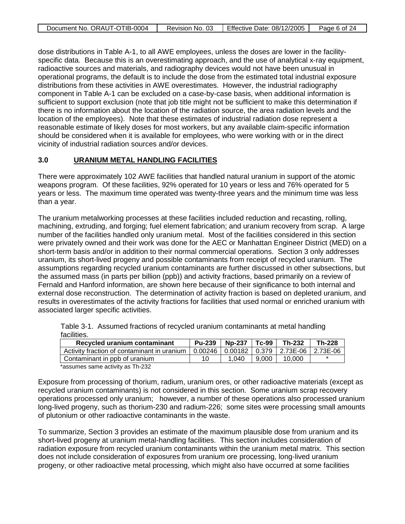| Document No. ORAUT-OTIB-0004 | Revision No. 03 | <b>Effective Date: 08/12/2005</b> | Page 6 of 24 |
|------------------------------|-----------------|-----------------------------------|--------------|
|                              |                 |                                   |              |

dose distributions in Table A-1, to all AWE employees, unless the doses are lower in the facilityspecific data. Because this is an overestimating approach, and the use of analytical x-ray equipment, radioactive sources and materials, and radiography devices would not have been unusual in operational programs, the default is to include the dose from the estimated total industrial exposure distributions from these activities in AWE overestimates. However, the industrial radiography component in Table A-1 can be excluded on a case-by-case basis, when additional information is sufficient to support exclusion (note that job title might not be sufficient to make this determination if there is no information about the location of the radiation source, the area radiation levels and the location of the employees). Note that these estimates of industrial radiation dose represent a reasonable estimate of likely doses for most workers, but any available claim-specific information should be considered when it is available for employees, who were working with or in the direct vicinity of industrial radiation sources and/or devices.

#### **3.0 URANIUM METAL HANDLING FACILITIES**

There were approximately 102 AWE facilities that handled natural uranium in support of the atomic weapons program. Of these facilities, 92% operated for 10 years or less and 76% operated for 5 years or less. The maximum time operated was twenty-three years and the minimum time was less than a year.

The uranium metalworking processes at these facilities included reduction and recasting, rolling, machining, extruding, and forging; fuel element fabrication; and uranium recovery from scrap. A large number of the facilities handled only uranium metal. Most of the facilities considered in this section were privately owned and their work was done for the AEC or Manhattan Engineer District (MED) on a short-term basis and/or in addition to their normal commercial operations. Section 3 only addresses uranium, its short-lived progeny and possible contaminants from receipt of recycled uranium. The assumptions regarding recycled uranium contaminants are further discussed in other subsections, but the assumed mass (in parts per billion (ppb)) and activity fractions, based primarily on a review of Fernald and Hanford information, are shown here because of their significance to both internal and external dose reconstruction. The determination of activity fraction is based on depleted uranium, and results in overestimates of the activity fractions for facilities that used normal or enriched uranium with associated larger specific activities.

|             | Table 3-1. Assumed fractions of recycled uranium contaminants at metal handling |  |
|-------------|---------------------------------------------------------------------------------|--|
| facilities. |                                                                                 |  |

| Recycled uranium contaminant                  | <b>Pu-239</b> | <b>Np-237</b> | $\overline{\phantom{1}}$ Tc-99 | Th-232                                          | Th-228 |
|-----------------------------------------------|---------------|---------------|--------------------------------|-------------------------------------------------|--------|
| Activity fraction of contaminant in uranium 1 |               |               |                                | 0.00246   0.00182   0.379   2.73E-06   2.73E-06 |        |
| Contaminant in ppb of uranium                 |               | 1.040         | 9.000                          | 10.000                                          |        |
| *accumac cama activity ac Th_232              |               |               |                                |                                                 |        |

assumes same activity as Th-232

Exposure from processing of thorium, radium, uranium ores, or other radioactive materials (except as recycled uranium contaminants) is not considered in this section. Some uranium scrap recovery operations processed only uranium; however, a number of these operations also processed uranium long-lived progeny, such as thorium-230 and radium-226; some sites were processing small amounts of plutonium or other radioactive contaminants in the waste.

To summarize, Section 3 provides an estimate of the maximum plausible dose from uranium and its short-lived progeny at uranium metal-handling facilities. This section includes consideration of radiation exposure from recycled uranium contaminants within the uranium metal matrix. This section does not include consideration of exposures from uranium ore processing, long-lived uranium progeny, or other radioactive metal processing, which might also have occurred at some facilities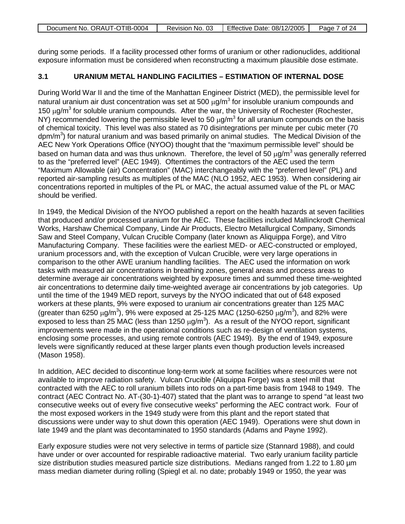| Document No. ORAUT-OTIB-0004 | Revision No. 03 | Effective Date: 08/12/2005 | Page 7 of 24 |
|------------------------------|-----------------|----------------------------|--------------|

during some periods. If a facility processed other forms of uranium or other radionuclides, additional exposure information must be considered when reconstructing a maximum plausible dose estimate.

## **3.1 URANIUM METAL HANDLING FACILITIES – ESTIMATION OF INTERNAL DOSE**

During World War II and the time of the Manhattan Engineer District (MED), the permissible level for natural uranium air dust concentration was set at 500  $\mu$ g/m<sup>3</sup> for insoluble uranium compounds and 150  $\mu$ g/m<sup>3</sup> for soluble uranium compounds. After the war, the University of Rochester (Rochester, NY) recommended lowering the permissible level to 50  $\mu$ g/m<sup>3</sup> for all uranium compounds on the basis of chemical toxicity. This level was also stated as 70 disintegrations per minute per cubic meter (70 dpm/m<sup>3</sup>) for natural uranium and was based primarily on animal studies. The Medical Division of the AEC New York Operations Office (NYOO) thought that the "maximum permissible level" should be based on human data and was thus unknown. Therefore, the level of 50  $\mu$ g/m<sup>3</sup> was generally referred to as the "preferred level" (AEC 1949). Oftentimes the contractors of the AEC used the term "Maximum Allowable (air) Concentration" (MAC) interchangeably with the "preferred level" (PL) and reported air-sampling results as multiples of the MAC (NLO 1952, AEC 1953). When considering air concentrations reported in multiples of the PL or MAC, the actual assumed value of the PL or MAC should be verified.

In 1949, the Medical Division of the NYOO published a report on the health hazards at seven facilities that produced and/or processed uranium for the AEC. These facilities included Mallinckrodt Chemical Works, Harshaw Chemical Company, Linde Air Products, Electro Metallurgical Company, Simonds Saw and Steel Company, Vulcan Crucible Company (later known as Aliquippa Forge), and Vitro Manufacturing Company. These facilities were the earliest MED- or AEC-constructed or employed, uranium processors and, with the exception of Vulcan Crucible, were very large operations in comparison to the other AWE uranium handling facilities. The AEC used the information on work tasks with measured air concentrations in breathing zones, general areas and process areas to determine average air concentrations weighted by exposure times and summed these time-weighted air concentrations to determine daily time-weighted average air concentrations by job categories. Up until the time of the 1949 MED report, surveys by the NYOO indicated that out of 648 exposed workers at these plants, 9% were exposed to uranium air concentrations greater than 125 MAC (greater than 6250  $\mu$ g/m<sup>3</sup>), 9% were exposed at 25-125 MAC (1250-6250  $\mu$ g/m<sup>3</sup>), and 82% were exposed to less than 25 MAC (less than 1250  $\mu$ g/m<sup>3</sup>). As a result of the NYOO report, significant improvements were made in the operational conditions such as re-design of ventilation systems, enclosing some processes, and using remote controls (AEC 1949). By the end of 1949, exposure levels were significantly reduced at these larger plants even though production levels increased (Mason 1958).

In addition, AEC decided to discontinue long-term work at some facilities where resources were not available to improve radiation safety. Vulcan Crucible (Aliquippa Forge) was a steel mill that contracted with the AEC to roll uranium billets into rods on a part-time basis from 1948 to 1949. The contract (AEC Contract No. AT-(30-1)-407) stated that the plant was to arrange to spend "at least two consecutive weeks out of every five consecutive weeks" performing the AEC contract work. Four of the most exposed workers in the 1949 study were from this plant and the report stated that discussions were under way to shut down this operation (AEC 1949). Operations were shut down in late 1949 and the plant was decontaminated to 1950 standards (Adams and Payne 1992).

Early exposure studies were not very selective in terms of particle size (Stannard 1988), and could have under or over accounted for respirable radioactive material. Two early uranium facility particle size distribution studies measured particle size distributions. Medians ranged from 1.22 to 1.80  $\mu$ m mass median diameter during rolling (Spiegl et al. no date; probably 1949 or 1950, the year was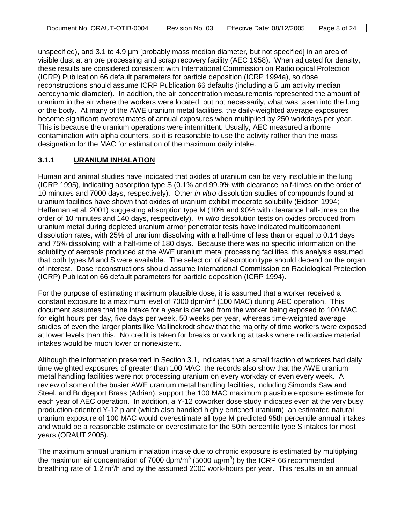| Document No. ORAUT-OTIB-0004 | Revision No. 03 | Effective Date: 08/12/2005 | Page 8 of 24 |
|------------------------------|-----------------|----------------------------|--------------|

unspecified), and 3.1 to 4.9 µm [probably mass median diameter, but not specified] in an area of visible dust at an ore processing and scrap recovery facility (AEC 1958). When adjusted for density, these results are considered consistent with International Commission on Radiological Protection (ICRP) Publication 66 default parameters for particle deposition (ICRP 1994a), so dose reconstructions should assume ICRP Publication 66 defaults (including a 5 µm activity median aerodynamic diameter). In addition, the air concentration measurements represented the amount of uranium in the air where the workers were located, but not necessarily, what was taken into the lung or the body. At many of the AWE uranium metal facilities, the daily-weighted average exposures become significant overestimates of annual exposures when multiplied by 250 workdays per year. This is because the uranium operations were intermittent. Usually, AEC measured airborne contamination with alpha counters, so it is reasonable to use the activity rather than the mass designation for the MAC for estimation of the maximum daily intake.

### **3.1.1 URANIUM INHALATION**

Human and animal studies have indicated that oxides of uranium can be very insoluble in the lung (ICRP 1995), indicating absorption type S (0.1% and 99.9% with clearance half-times on the order of 10 minutes and 7000 days, respectively). Other *in vitro* dissolution studies of compounds found at uranium facilities have shown that oxides of uranium exhibit moderate solubility (Eidson 1994; Heffernan et al. 2001) suggesting absorption type M (10% and 90% with clearance half-times on the order of 10 minutes and 140 days, respectively). *In vitro* dissolution tests on oxides produced from uranium metal during depleted uranium armor penetrator tests have indicated multicomponent dissolution rates, with 25% of uranium dissolving with a half-time of less than or equal to 0.14 days and 75% dissolving with a half-time of 180 days. Because there was no specific information on the solubility of aerosols produced at the AWE uranium metal processing facilities, this analysis assumed that both types M and S were available. The selection of absorption type should depend on the organ of interest. Dose reconstructions should assume International Commission on Radiological Protection (ICRP) Publication 66 default parameters for particle deposition (ICRP 1994).

For the purpose of estimating maximum plausible dose, it is assumed that a worker received a constant exposure to a maximum level of 7000 dpm/ $m<sup>3</sup>$  (100 MAC) during AEC operation. This document assumes that the intake for a year is derived from the worker being exposed to 100 MAC for eight hours per day, five days per week, 50 weeks per year, whereas time-weighted average studies of even the larger plants like Mallinckrodt show that the majority of time workers were exposed at lower levels than this. No credit is taken for breaks or working at tasks where radioactive material intakes would be much lower or nonexistent.

Although the information presented in Section 3.1, indicates that a small fraction of workers had daily time weighted exposures of greater than 100 MAC, the records also show that the AWE uranium metal handling facilities were not processing uranium on every workday or even every week. A review of some of the busier AWE uranium metal handling facilities, including Simonds Saw and Steel, and Bridgeport Brass (Adrian), support the 100 MAC maximum plausible exposure estimate for each year of AEC operation. In addition, a Y-12 coworker dose study indicates even at the very busy, production-oriented Y-12 plant (which also handled highly enriched uranium) an estimated natural uranium exposure of 100 MAC would overestimate all type M predicted 95th percentile annual intakes and would be a reasonable estimate or overestimate for the 50th percentile type S intakes for most years (ORAUT 2005).

The maximum annual uranium inhalation intake due to chronic exposure is estimated by multiplying the maximum air concentration of 7000 dpm/m<sup>3</sup> (5000  $\mu$ g/m<sup>3</sup>) by the ICRP 66 recommended breathing rate of 1.2 m<sup>3</sup>/h and by the assumed 2000 work-hours per year. This results in an annual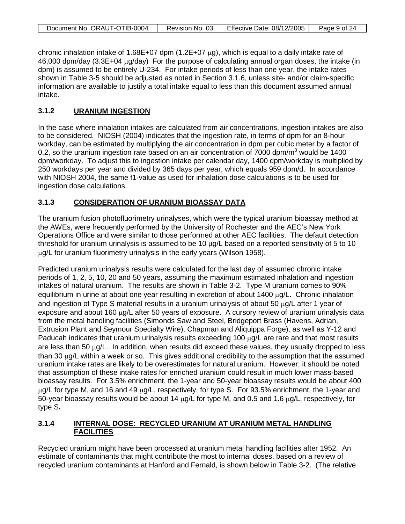| Document No. ORAUT-OTIB-0004 | Revision No. 03 | Effective Date: 08/12/2005 | Page 9 of 24 |
|------------------------------|-----------------|----------------------------|--------------|

chronic inhalation intake of 1.68E+07 dpm (1.2E+07  $\mu$ g), which is equal to a daily intake rate of 46,000 dpm/day (3.3E+04 µg/day) For the purpose of calculating annual organ doses, the intake (in dpm) is assumed to be entirely U-234. For intake periods of less than one year, the intake rates shown in Table 3-5 should be adjusted as noted in Section 3.1.6, unless site- and/or claim-specific information are available to justify a total intake equal to less than this document assumed annual intake.

### **3.1.2 URANIUM INGESTION**

In the case where inhalation intakes are calculated from air concentrations, ingestion intakes are also to be considered. NIOSH (2004) indicates that the ingestion rate, in terms of dpm for an 8-hour workday, can be estimated by multiplying the air concentration in dpm per cubic meter by a factor of 0.2, so the uranium ingestion rate based on an air concentration of 7000 dpm/ $m<sup>3</sup>$  would be 1400 dpm/workday. To adjust this to ingestion intake per calendar day, 1400 dpm/workday is multiplied by 250 workdays per year and divided by 365 days per year, which equals 959 dpm/d. In accordance with NIOSH 2004, the same f1-value as used for inhalation dose calculations is to be used for ingestion dose calculations.

### **3.1.3 CONSIDERATION OF URANIUM BIOASSAY DATA**

The uranium fusion photofluorimetry urinalyses, which were the typical uranium bioassay method at the AWEs, were frequently performed by the University of Rochester and the AEC's New York Operations Office and were similar to those performed at other AEC facilities. The default detection threshold for uranium urinalysis is assumed to be 10 µg/L based on a reported sensitivity of 5 to 10 µg/L for uranium fluorimetry urinalysis in the early years (Wilson 1958).

Predicted uranium urinalysis results were calculated for the last day of assumed chronic intake periods of 1, 2, 5, 10, 20 and 50 years, assuming the maximum estimated inhalation and ingestion intakes of natural uranium. The results are shown in Table 3-2. Type M uranium comes to 90% equilibrium in urine at about one year resulting in excretion of about 1400 µg/L. Chronic inhalation and ingestion of Type S material results in a uranium urinalysis of about 50 ug/L after 1 year of exposure and about 160 µg/L after 50 years of exposure. A cursory review of uranium urinalysis data from the metal handling facilities (Simonds Saw and Steel, Bridgeport Brass (Havens, Adrian, Extrusion Plant and Seymour Specialty Wire), Chapman and Aliquippa Forge), as well as Y-12 and Paducah indicates that uranium urinalysis results exceeding 100  $\mu$ g/L are rare and that most results are less than 50  $\mu$ g/L. In addition, when results did exceed these values, they usually dropped to less than 30  $\mu$ g/L within a week or so. This gives additional credibility to the assumption that the assumed uranium intake rates are likely to be overestimates for natural uranium. However, it should be noted that assumption of these intake rates for enriched uranium could result in much lower mass-based bioassay results. For 3.5% enrichment, the 1-year and 50-year bioassay results would be about 400 µg/L for type M, and 16 and 49 µg/L, respectively, for type S. For 93.5% enrichment, the 1-year and 50-year bioassay results would be about 14  $\mu$ g/L for type M, and 0.5 and 1.6  $\mu$ g/L, respectively, for type S**.**

### **3.1.4 INTERNAL DOSE: RECYCLED URANIUM AT URANIUM METAL HANDLING FACILITIES**

Recycled uranium might have been processed at uranium metal handling facilities after 1952. An estimate of contaminants that might contribute the most to internal doses, based on a review of recycled uranium contaminants at Hanford and Fernald, is shown below in Table 3-2. (The relative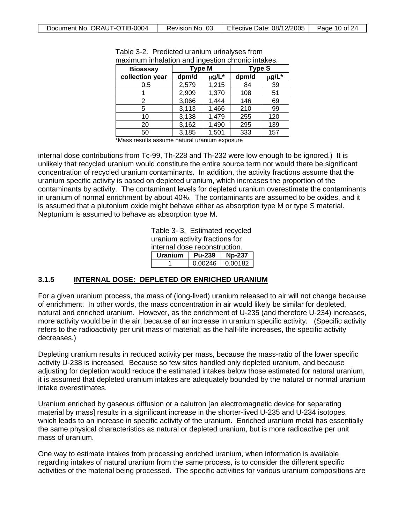| <b>Bioassay</b> | <b>Type M</b> |            | <b>Type S</b> |       |
|-----------------|---------------|------------|---------------|-------|
| collection year | dpm/d         | $\mu$ g/L* | dpm/d         | µg/L* |
| 0.5             | 2,579         | 1,215      | 84            | 39    |
|                 | 2,909         | 1,370      | 108           | 51    |
| 2               | 3,066         | 1,444      | 146           | 69    |
| 5               | 3,113         | 1,466      | 210           | 99    |
| 10              | 3,138         | 1,479      | 255           | 120   |
| 20              | 3,162         | 1,490      | 295           | 139   |
| 50              | 3,185         | 1,501      | 333           | 157   |

Table 3-2. Predicted uranium urinalyses from maximum inhalation and ingestion chronic intakes.

\*Mass results assume natural uranium exposure

internal dose contributions from Tc-99, Th-228 and Th-232 were low enough to be ignored.) It is unlikely that recycled uranium would constitute the entire source term nor would there be significant concentration of recycled uranium contaminants. In addition, the activity fractions assume that the uranium specific activity is based on depleted uranium, which increases the proportion of the contaminants by activity. The contaminant levels for depleted uranium overestimate the contaminants in uranium of normal enrichment by about 40%. The contaminants are assumed to be oxides, and it is assumed that a plutonium oxide might behave either as absorption type M or type S material. Neptunium is assumed to behave as absorption type M.

> Table 3- 3. Estimated recycled uranium activity fractions for internal dose reconstruction. **Uranium Pu-239 Np-237**

> > 1 0.00246 0.00182

#### **3.1.5 INTERNAL DOSE: DEPLETED OR ENRICHED URANIUM**

For a given uranium process, the mass of (long-lived) uranium released to air will not change because of enrichment. In other words, the mass concentration in air would likely be similar for depleted, natural and enriched uranium. However, as the enrichment of U-235 (and therefore U-234) increases, more activity would be in the air, because of an increase in uranium specific activity. (Specific activity refers to the radioactivity per unit mass of material; as the half-life increases, the specific activity decreases.)

Depleting uranium results in reduced activity per mass, because the mass-ratio of the lower specific activity U-238 is increased. Because so few sites handled only depleted uranium, and because adjusting for depletion would reduce the estimated intakes below those estimated for natural uranium, it is assumed that depleted uranium intakes are adequately bounded by the natural or normal uranium intake overestimates.

Uranium enriched by gaseous diffusion or a calutron [an electromagnetic device for separating material by mass] results in a significant increase in the shorter-lived U-235 and U-234 isotopes, which leads to an increase in specific activity of the uranium. Enriched uranium metal has essentially the same physical characteristics as natural or depleted uranium, but is more radioactive per unit mass of uranium.

One way to estimate intakes from processing enriched uranium, when information is available regarding intakes of natural uranium from the same process, is to consider the different specific activities of the material being processed. The specific activities for various uranium compositions are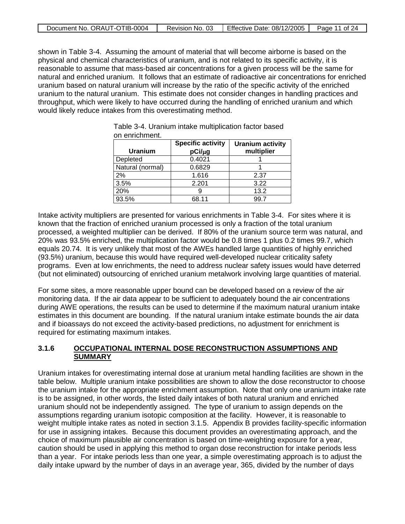| Document No. ORAUT-OTIB-0004 | Revision No. 03 | Effective Date: 08/12/2005 | Page 11 of 24 |
|------------------------------|-----------------|----------------------------|---------------|
|                              |                 |                            |               |

shown in Table 3-4. Assuming the amount of material that will become airborne is based on the physical and chemical characteristics of uranium, and is not related to its specific activity, it is reasonable to assume that mass-based air concentrations for a given process will be the same for natural and enriched uranium. It follows that an estimate of radioactive air concentrations for enriched uranium based on natural uranium will increase by the ratio of the specific activity of the enriched uranium to the natural uranium. This estimate does not consider changes in handling practices and throughput, which were likely to have occurred during the handling of enriched uranium and which would likely reduce intakes from this overestimating method.

| <b>Uranium</b>   | <b>Specific activity</b><br>pCi/µg | <b>Uranium activity</b><br>multiplier |
|------------------|------------------------------------|---------------------------------------|
| Depleted         | 0.4021                             |                                       |
| Natural (normal) | 0.6829                             |                                       |
| 2%               | 1.616                              | 2.37                                  |
| 3.5%             | 2.201                              | 3.22                                  |
| 20%              |                                    | 13.2                                  |
| 93.5%            | 68.11                              | 99.7                                  |

Table 3-4. Uranium intake multiplication factor based on enrichment.

Intake activity multipliers are presented for various enrichments in Table 3-4. For sites where it is known that the fraction of enriched uranium processed is only a fraction of the total uranium processed, a weighted multiplier can be derived. If 80% of the uranium source term was natural, and 20% was 93.5% enriched, the multiplication factor would be 0.8 times 1 plus 0.2 times 99.7, which equals 20.74. It is very unlikely that most of the AWEs handled large quantities of highly enriched (93.5%) uranium, because this would have required well-developed nuclear criticality safety programs. Even at low enrichments, the need to address nuclear safety issues would have deterred (but not eliminated) outsourcing of enriched uranium metalwork involving large quantities of material.

For some sites, a more reasonable upper bound can be developed based on a review of the air monitoring data. If the air data appear to be sufficient to adequately bound the air concentrations during AWE operations, the results can be used to determine if the maximum natural uranium intake estimates in this document are bounding. If the natural uranium intake estimate bounds the air data and if bioassays do not exceed the activity-based predictions, no adjustment for enrichment is required for estimating maximum intakes.

### **3.1.6 OCCUPATIONAL INTERNAL DOSE RECONSTRUCTION ASSUMPTIONS AND SUMMARY**

Uranium intakes for overestimating internal dose at uranium metal handling facilities are shown in the table below. Multiple uranium intake possibilities are shown to allow the dose reconstructor to choose the uranium intake for the appropriate enrichment assumption. Note that only one uranium intake rate is to be assigned, in other words, the listed daily intakes of both natural uranium and enriched uranium should not be independently assigned. The type of uranium to assign depends on the assumptions regarding uranium isotopic composition at the facility. However, it is reasonable to weight multiple intake rates as noted in section 3.1.5. Appendix B provides facility-specific information for use in assigning intakes. Because this document provides an overestimating approach, and the choice of maximum plausible air concentration is based on time-weighting exposure for a year, caution should be used in applying this method to organ dose reconstruction for intake periods less than a year. For intake periods less than one year, a simple overestimating approach is to adjust the daily intake upward by the number of days in an average year, 365, divided by the number of days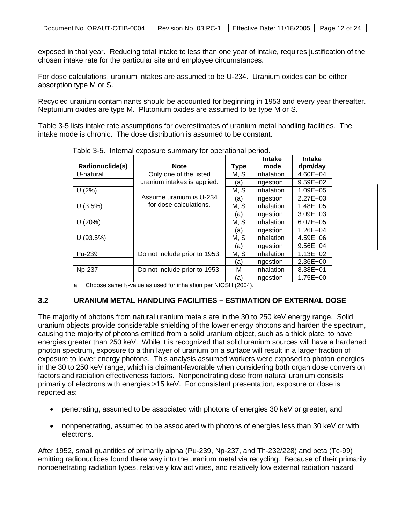exposed in that year. Reducing total intake to less than one year of intake, requires justification of the chosen intake rate for the particular site and employee circumstances.

For dose calculations, uranium intakes are assumed to be U-234. Uranium oxides can be either absorption type M or S.

Recycled uranium contaminants should be accounted for beginning in 1953 and every year thereafter. Neptunium oxides are type M. Plutonium oxides are assumed to be type M or S.

Table 3-5 lists intake rate assumptions for overestimates of uranium metal handling facilities. The intake mode is chronic. The dose distribution is assumed to be constant.

|                 |                               |      | <b>Intake</b> | <b>Intake</b> |
|-----------------|-------------------------------|------|---------------|---------------|
| Radionuclide(s) | <b>Note</b>                   | Type | mode          | dpm/day       |
| U-natural       | Only one of the listed        | M, S | Inhalation    | 4.60E+04      |
|                 | uranium intakes is applied.   | (a)  | Ingestion     | 9.59E+02      |
| U(2%)           |                               | M, S | Inhalation    | 1.09E+05      |
|                 | Assume uranium is U-234       | (a)  | Ingestion     | $2.27E + 03$  |
| U(3.5%)         | for dose calculations.        | M, S | Inhalation    | 1.48E+05      |
|                 |                               | (a)  | Ingestion     | $3.09E + 03$  |
| U(20%)          |                               | M, S | Inhalation    | 6.07E+05      |
|                 |                               | (a)  | Ingestion     | 1.26E+04      |
| U (93.5%)       |                               | M, S | Inhalation    | 4.59E+06      |
|                 |                               | (a)  | Ingestion     | $9.56E + 04$  |
| Pu-239          | Do not include prior to 1953. | M, S | Inhalation    | $1.13E + 02$  |
|                 |                               | (a)  | Ingestion     | 2.36E+00      |
| Np-237          | Do not include prior to 1953. | М    | Inhalation    | 8.38E+01      |
|                 |                               | (a)  | Ingestion     | 1.75E+00      |

Table 3-5. Internal exposure summary for operational period.

Choose same  $f_1$ -value as used for inhalation per NIOSH (2004).

### **3.2 URANIUM METAL HANDLING FACILITIES – ESTIMATION OF EXTERNAL DOSE**

The majority of photons from natural uranium metals are in the 30 to 250 keV energy range. Solid uranium objects provide considerable shielding of the lower energy photons and harden the spectrum, causing the majority of photons emitted from a solid uranium object, such as a thick plate, to have energies greater than 250 keV. While it is recognized that solid uranium sources will have a hardened photon spectrum, exposure to a thin layer of uranium on a surface will result in a larger fraction of exposure to lower energy photons. This analysis assumed workers were exposed to photon energies in the 30 to 250 keV range, which is claimant-favorable when considering both organ dose conversion factors and radiation effectiveness factors. Nonpenetrating dose from natural uranium consists primarily of electrons with energies >15 keV. For consistent presentation, exposure or dose is reported as:

- penetrating, assumed to be associated with photons of energies 30 keV or greater, and
- nonpenetrating, assumed to be associated with photons of energies less than 30 keV or with electrons.

After 1952, small quantities of primarily alpha (Pu-239, Np-237, and Th-232/228) and beta (Tc-99) emitting radionuclides found there way into the uranium metal via recycling. Because of their primarily nonpenetrating radiation types, relatively low activities, and relatively low external radiation hazard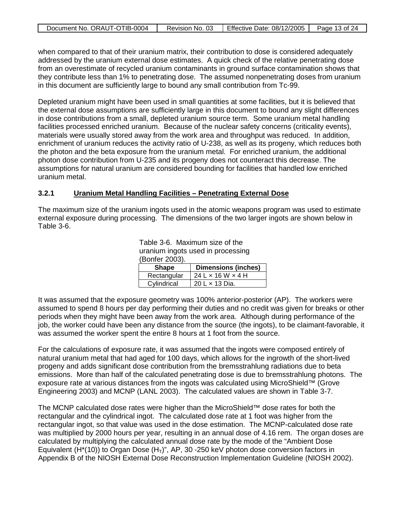| Document No. ORAUT-OTIB-0004 | Revision No. 03 | Effective Date: 08/12/2005 | Page 13 of 24 |
|------------------------------|-----------------|----------------------------|---------------|

when compared to that of their uranium matrix, their contribution to dose is considered adequately addressed by the uranium external dose estimates. A quick check of the relative penetrating dose from an overestimate of recycled uranium contaminants in ground surface contamination shows that they contribute less than 1% to penetrating dose. The assumed nonpenetrating doses from uranium in this document are sufficiently large to bound any small contribution from Tc-99.

Depleted uranium might have been used in small quantities at some facilities, but it is believed that the external dose assumptions are sufficiently large in this document to bound any slight differences in dose contributions from a small, depleted uranium source term. Some uranium metal handling facilities processed enriched uranium. Because of the nuclear safety concerns (criticality events), materials were usually stored away from the work area and throughput was reduced. In addition, enrichment of uranium reduces the activity ratio of U-238, as well as its progeny, which reduces both the photon and the beta exposure from the uranium metal. For enriched uranium, the additional photon dose contribution from U-235 and its progeny does not counteract this decrease. The assumptions for natural uranium are considered bounding for facilities that handled low enriched uranium metal.

#### **3.2.1 Uranium Metal Handling Facilities – Penetrating External Dose**

The maximum size of the uranium ingots used in the atomic weapons program was used to estimate external exposure during processing. The dimensions of the two larger ingots are shown below in Table 3-6.

> Table 3-6. Maximum size of the uranium ingots used in processing (Bonfer 2003).

| <b>Shape</b> | <b>Dimensions (inches)</b>        |
|--------------|-----------------------------------|
| Rectangular  | $24$ L $\times$ 16 W $\times$ 4 H |
| Cylindrical  | 20 L x 13 Dia.                    |

It was assumed that the exposure geometry was 100% anterior-posterior (AP). The workers were assumed to spend 8 hours per day performing their duties and no credit was given for breaks or other periods when they might have been away from the work area. Although during performance of the iob, the worker could have been any distance from the source (the ingots), to be claimant-favorable, it was assumed the worker spent the entire 8 hours at 1 foot from the source.

For the calculations of exposure rate, it was assumed that the ingots were composed entirely of natural uranium metal that had aged for 100 days, which allows for the ingrowth of the short-lived progeny and adds significant dose contribution from the bremsstrahlung radiations due to beta emissions. More than half of the calculated penetrating dose is due to bremsstrahlung photons. The exposure rate at various distances from the ingots was calculated using MicroShield™ (Grove Engineering 2003) and MCNP (LANL 2003). The calculated values are shown in Table 3-7.

The MCNP calculated dose rates were higher than the MicroShield™ dose rates for both the rectangular and the cylindrical ingot. The calculated dose rate at 1 foot was higher from the rectangular ingot, so that value was used in the dose estimation. The MCNP-calculated dose rate was multiplied by 2000 hours per year, resulting in an annual dose of 4.16 rem. The organ doses are calculated by multiplying the calculated annual dose rate by the mode of the "Ambient Dose Equivalent (H<sup>\*</sup>(10)) to Organ Dose (H<sub>T</sub>)", AP, 30 -250 keV photon dose conversion factors in Appendix B of the NIOSH External Dose Reconstruction Implementation Guideline (NIOSH 2002).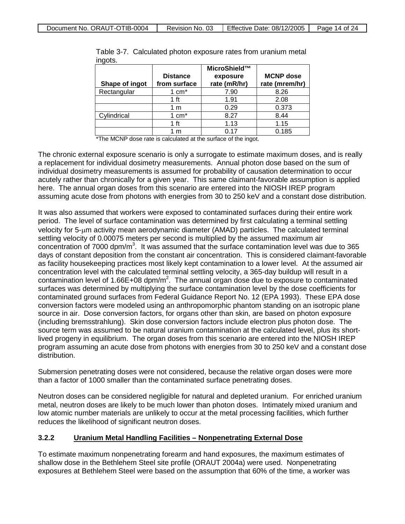| Shape of ingot | <b>Distance</b><br>from surface | MicroShield™<br>exposure<br>rate (mR/hr) | <b>MCNP</b> dose<br>rate (mrem/hr) |
|----------------|---------------------------------|------------------------------------------|------------------------------------|
| Rectangular    | $1 \text{ cm}^*$                | 7.90                                     | 8.26                               |
|                | 1 ft                            | 1.91                                     | 2.08                               |
|                | 1 m                             | 0.29                                     | 0.373                              |
| Cylindrical    | 1 $cm*$                         | 8.27                                     | 8.44                               |
|                | 1 ft                            | 1.13                                     | 1.15                               |
|                | m                               | 0.17                                     | 0.185                              |

Table 3-7. Calculated photon exposure rates from uranium metal ingots

\*The MCNP dose rate is calculated at the surface of the ingot.

The chronic external exposure scenario is only a surrogate to estimate maximum doses, and is really a replacement for individual dosimetry measurements. Annual photon dose based on the sum of individual dosimetry measurements is assumed for probability of causation determination to occur acutely rather than chronically for a given year. This same claimant-favorable assumption is applied here. The annual organ doses from this scenario are entered into the NIOSH IREP program assuming acute dose from photons with energies from 30 to 250 keV and a constant dose distribution.

It was also assumed that workers were exposed to contaminated surfaces during their entire work period. The level of surface contamination was determined by first calculating a terminal settling velocity for 5-µm activity mean aerodynamic diameter (AMAD) particles. The calculated terminal settling velocity of 0.00075 meters per second is multiplied by the assumed maximum air concentration of 7000 dpm/m<sup>3</sup>. It was assumed that the surface contamination level was due to 365 days of constant deposition from the constant air concentration. This is considered claimant-favorable as facility housekeeping practices most likely kept contamination to a lower level. At the assumed air concentration level with the calculated terminal settling velocity, a 365-day buildup will result in a contamination level of 1.66E+08 dpm/m<sup>2</sup>. The annual organ dose due to exposure to contaminated surfaces was determined by multiplying the surface contamination level by the dose coefficients for contaminated ground surfaces from Federal Guidance Report No. 12 (EPA 1993). These EPA dose conversion factors were modeled using an anthropomorphic phantom standing on an isotropic plane source in air. Dose conversion factors, for organs other than skin, are based on photon exposure (including bremsstrahlung). Skin dose conversion factors include electron plus photon dose. The source term was assumed to be natural uranium contamination at the calculated level, plus its shortlived progeny in equilibrium. The organ doses from this scenario are entered into the NIOSH IREP program assuming an acute dose from photons with energies from 30 to 250 keV and a constant dose distribution.

Submersion penetrating doses were not considered, because the relative organ doses were more than a factor of 1000 smaller than the contaminated surface penetrating doses.

Neutron doses can be considered negligible for natural and depleted uranium. For enriched uranium metal, neutron doses are likely to be much lower than photon doses. Intimately mixed uranium and low atomic number materials are unlikely to occur at the metal processing facilities, which further reduces the likelihood of significant neutron doses.

#### **3.2.2 Uranium Metal Handling Facilities – Nonpenetrating External Dose**

To estimate maximum nonpenetrating forearm and hand exposures, the maximum estimates of shallow dose in the Bethlehem Steel site profile (ORAUT 2004a) were used. Nonpenetrating exposures at Bethlehem Steel were based on the assumption that 60% of the time, a worker was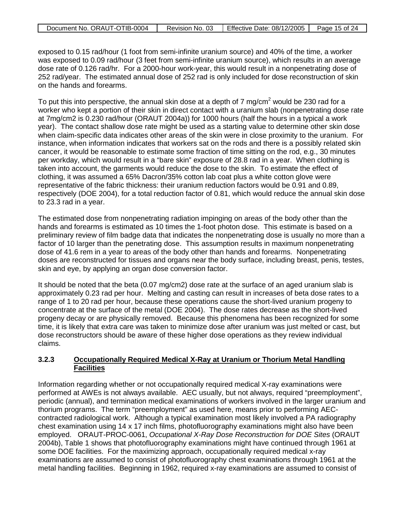| Document No. ORAUT-OTIB-0004 | Revision No. 03 | Effective Date: 08/12/2005 | Page 15 of 24 |
|------------------------------|-----------------|----------------------------|---------------|
|                              |                 |                            |               |

exposed to 0.15 rad/hour (1 foot from semi-infinite uranium source) and 40% of the time, a worker was exposed to 0.09 rad/hour (3 feet from semi-infinite uranium source), which results in an average dose rate of 0.126 rad/hr. For a 2000-hour work-year, this would result in a nonpenetrating dose of 252 rad/year. The estimated annual dose of 252 rad is only included for dose reconstruction of skin on the hands and forearms.

To put this into perspective, the annual skin dose at a depth of  $7 \text{ mg/cm}^2$  would be 230 rad for a worker who kept a portion of their skin in direct contact with a uranium slab (nonpenetrating dose rate at 7mg/cm2 is 0.230 rad/hour (ORAUT 2004a)) for 1000 hours (half the hours in a typical a work year). The contact shallow dose rate might be used as a starting value to determine other skin dose when claim-specific data indicates other areas of the skin were in close proximity to the uranium. For instance, when information indicates that workers sat on the rods and there is a possibly related skin cancer, it would be reasonable to estimate some fraction of time sitting on the rod, e.g., 30 minutes per workday, which would result in a "bare skin" exposure of 28.8 rad in a year. When clothing is taken into account, the garments would reduce the dose to the skin. To estimate the effect of clothing, it was assumed a 65% Dacron/35% cotton lab coat plus a white cotton glove were representative of the fabric thickness: their uranium reduction factors would be 0.91 and 0.89, respectively (DOE 2004), for a total reduction factor of 0.81, which would reduce the annual skin dose to 23.3 rad in a year.

The estimated dose from nonpenetrating radiation impinging on areas of the body other than the hands and forearms is estimated as 10 times the 1-foot photon dose. This estimate is based on a preliminary review of film badge data that indicates the nonpenetrating dose is usually no more than a factor of 10 larger than the penetrating dose. This assumption results in maximum nonpenetrating dose of 41.6 rem in a year to areas of the body other than hands and forearms. Nonpenetrating doses are reconstructed for tissues and organs near the body surface, including breast, penis, testes, skin and eye, by applying an organ dose conversion factor.

It should be noted that the beta (0.07 mg/cm2) dose rate at the surface of an aged uranium slab is approximately 0.23 rad per hour. Melting and casting can result in increases of beta dose rates to a range of 1 to 20 rad per hour, because these operations cause the short-lived uranium progeny to concentrate at the surface of the metal (DOE 2004). The dose rates decrease as the short-lived progeny decay or are physically removed. Because this phenomena has been recognized for some time, it is likely that extra care was taken to minimize dose after uranium was just melted or cast, but dose reconstructors should be aware of these higher dose operations as they review individual claims.

### **3.2.3 Occupationally Required Medical X-Ray at Uranium or Thorium Metal Handling Facilities**

Information regarding whether or not occupationally required medical X-ray examinations were performed at AWEs is not always available. AEC usually, but not always, required "preemployment", periodic (annual), and termination medical examinations of workers involved in the larger uranium and thorium programs. The term "preemployment" as used here, means prior to performing AECcontracted radiological work. Although a typical examination most likely involved a PA radiography chest examination using 14 x 17 inch films, photofluorography examinations might also have been employed. ORAUT-PROC-0061, *Occupational X-Ray Dose Reconstruction for DOE Sites* (ORAUT 2004b), Table 1 shows that photofluorography examinations might have continued through 1961 at some DOE facilities. For the maximizing approach, occupationally required medical x-ray examinations are assumed to consist of photofluorography chest examinations through 1961 at the metal handling facilities. Beginning in 1962, required x-ray examinations are assumed to consist of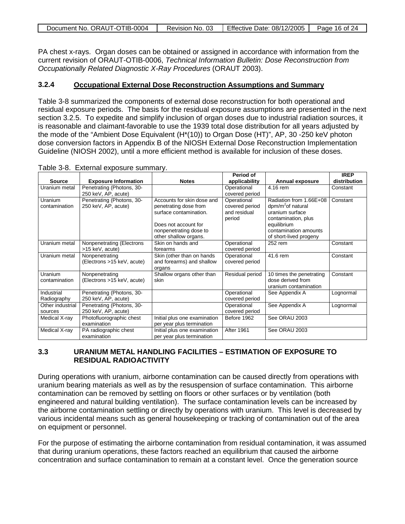| Document No. ORAUT-OTIB-0004 | Revision No. 03 | Effective Date: 08/12/2005 | Page 16 of 24 |
|------------------------------|-----------------|----------------------------|---------------|
|                              |                 |                            |               |

PA chest x-rays. Organ doses can be obtained or assigned in accordance with information from the current revision of ORAUT-OTIB-0006, *Technical Information Bulletin: Dose Reconstruction from Occupationally Related Diagnostic X-Ray Procedures* (ORAUT 2003).

#### **3.2.4 Occupational External Dose Reconstruction Assumptions and Summary**

Table 3-8 summarized the components of external dose reconstruction for both operational and residual exposure periods. The basis for the residual exposure assumptions are presented in the next section 3.2.5. To expedite and simplify inclusion of organ doses due to industrial radiation sources, it is reasonable and claimant-favorable to use the 1939 total dose distribution for all years adjusted by the mode of the "Ambient Dose Equivalent (H\*(10)) to Organ Dose (HT)", AP, 30 -250 keV photon dose conversion factors in Appendix B of the NIOSH External Dose Reconstruction Implementation Guideline (NIOSH 2002), until a more efficient method is available for inclusion of these doses.

|                  |                             |                              | Period of       |                               | <b>IREP</b>  |
|------------------|-----------------------------|------------------------------|-----------------|-------------------------------|--------------|
| <b>Source</b>    | <b>Exposure Information</b> | <b>Notes</b>                 | applicability   | <b>Annual exposure</b>        | distribution |
| Uranium metal    | Penetrating (Photons, 30-   |                              | Operational     | 4.16 rem                      | Constant     |
|                  | 250 keV, AP, acute)         |                              | covered period  |                               |              |
| Uranium          | Penetrating (Photons, 30-   | Accounts for skin dose and   | Operational     | Radiation from 1.66E+08       | Constant     |
| contamination    | 250 keV, AP, acute)         | penetrating dose from        | covered period  | dpm/m <sup>2</sup> of natural |              |
|                  |                             | surface contamination.       | and residual    | uranium surface               |              |
|                  |                             |                              | period          | contamination, plus           |              |
|                  |                             | Does not account for         |                 | equilibrium                   |              |
|                  |                             | nonpenetrating dose to       |                 | contamination amounts         |              |
|                  |                             | other shallow organs.        |                 | of short-lived progeny        |              |
| Uranium metal    | Nonpenetrating (Electrons   | Skin on hands and            | Operational     | 252 rem                       | Constant     |
|                  | >15 keV, acute)             | forearms                     | covered period  |                               |              |
| Uranium metal    | Nonpenetrating              | Skin (other than on hands    | Operational     | 41.6 rem                      | Constant     |
|                  | (Electrons >15 keV, acute)  | and forearms) and shallow    | covered period  |                               |              |
|                  |                             | organs                       |                 |                               |              |
| Uranium          | Nonpenetrating              | Shallow organs other than    | Residual period | 10 times the penetrating      | Constant     |
| contamination    | (Electrons >15 keV, acute)  | skin                         |                 | dose derived from             |              |
|                  |                             |                              |                 | uranium contamination         |              |
| Industrial       | Penetrating (Photons, 30-   |                              | Operational     | See Appendix A                | Lognormal    |
| Radiography      | 250 keV, AP, acute)         |                              | covered period  |                               |              |
| Other industrial | Penetrating (Photons, 30-   |                              | Operational     | See Appendix A                | Lognormal    |
| sources          | 250 keV, AP, acute)         |                              | covered period  |                               |              |
| Medical X-ray    | Photofluorographic chest    | Initial plus one examination | Before 1962     | See ORAU 2003                 |              |
|                  | examination                 | per year plus termination    |                 |                               |              |
| Medical X-ray    | PA radiographic chest       | Initial plus one examination | After 1961      | See ORAU 2003                 |              |
|                  | examination                 | per year plus termination    |                 |                               |              |

Table 3-8. External exposure summary.

## **3.3 URANIUM METAL HANDLING FACILITIES – ESTIMATION OF EXPOSURE TO RESIDUAL RADIOACTIVITY**

During operations with uranium, airborne contamination can be caused directly from operations with uranium bearing materials as well as by the resuspension of surface contamination. This airborne contamination can be removed by settling on floors or other surfaces or by ventilation (both engineered and natural building ventilation). The surface contamination levels can be increased by the airborne contamination settling or directly by operations with uranium. This level is decreased by various incidental means such as general housekeeping or tracking of contamination out of the area on equipment or personnel.

For the purpose of estimating the airborne contamination from residual contamination, it was assumed that during uranium operations, these factors reached an equilibrium that caused the airborne concentration and surface contamination to remain at a constant level. Once the generation source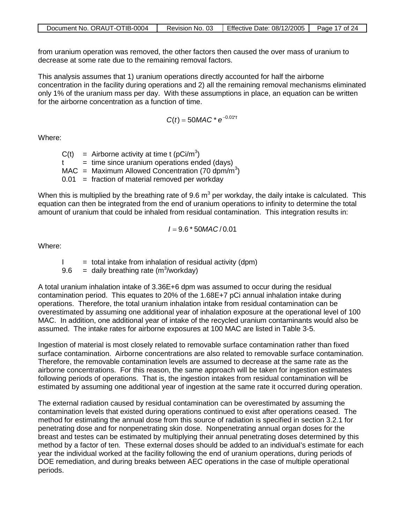| Document No. ORAUT-OTIB-0004 | Revision No. 03 | Effective Date: 08/12/2005 | Page 17 of 24 |
|------------------------------|-----------------|----------------------------|---------------|
|                              |                 |                            |               |

from uranium operation was removed, the other factors then caused the over mass of uranium to decrease at some rate due to the remaining removal factors.

This analysis assumes that 1) uranium operations directly accounted for half the airborne concentration in the facility during operations and 2) all the remaining removal mechanisms eliminated only 1% of the uranium mass per day. With these assumptions in place, an equation can be written for the airborne concentration as a function of time.

$$
C(t) = 50MAC * e^{-0.01*t}
$$

Where:

|              | $C(t)$ = Airborne activity at time t (pCi/m <sup>3</sup> )   |
|--------------|--------------------------------------------------------------|
| $^{\dagger}$ | $=$ time since uranium operations ended (days)               |
|              | MAC = Maximum Allowed Concentration (70 dpm/m <sup>3</sup> ) |
|              | $0.01$ = fraction of material removed per workday            |

When this is multiplied by the breathing rate of 9.6  $m<sup>3</sup>$  per workday, the daily intake is calculated. This equation can then be integrated from the end of uranium operations to infinity to determine the total amount of uranium that could be inhaled from residual contamination. This integration results in:

$$
I = 9.6 * 50MAC/0.01
$$

Where:

 $I =$  total intake from inhalation of residual activity (dpm)

9.6 = daily breathing rate (m<sup>3</sup>/workday)

A total uranium inhalation intake of 3.36E+6 dpm was assumed to occur during the residual contamination period. This equates to 20% of the 1.68E+7 pCi annual inhalation intake during operations. Therefore, the total uranium inhalation intake from residual contamination can be overestimated by assuming one additional year of inhalation exposure at the operational level of 100 MAC. In addition, one additional year of intake of the recycled uranium contaminants would also be assumed. The intake rates for airborne exposures at 100 MAC are listed in Table 3-5.

Ingestion of material is most closely related to removable surface contamination rather than fixed surface contamination. Airborne concentrations are also related to removable surface contamination. Therefore, the removable contamination levels are assumed to decrease at the same rate as the airborne concentrations. For this reason, the same approach will be taken for ingestion estimates following periods of operations. That is, the ingestion intakes from residual contamination will be estimated by assuming one additional year of ingestion at the same rate it occurred during operation.

The external radiation caused by residual contamination can be overestimated by assuming the contamination levels that existed during operations continued to exist after operations ceased. The method for estimating the annual dose from this source of radiation is specified in section 3.2.1 for penetrating dose and for nonpenetrating skin dose. Nonpenetrating annual organ doses for the breast and testes can be estimated by multiplying their annual penetrating doses determined by this method by a factor of ten. These external doses should be added to an individual's estimate for each year the individual worked at the facility following the end of uranium operations, during periods of DOE remediation, and during breaks between AEC operations in the case of multiple operational periods.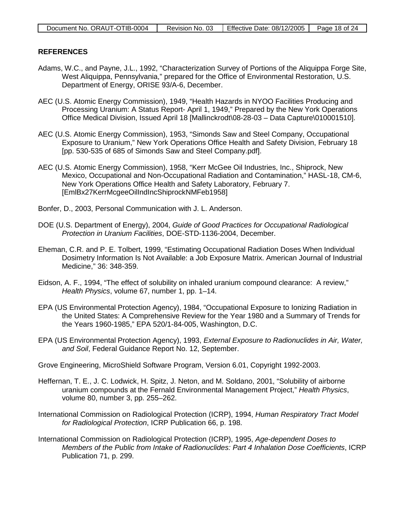### **REFERENCES**

- Adams, W.C., and Payne, J.L., 1992, "Characterization Survey of Portions of the Aliquippa Forge Site, West Aliquippa, Pennsylvania," prepared for the Office of Environmental Restoration, U.S. Department of Energy, ORISE 93/A-6, December.
- AEC (U.S. Atomic Energy Commission), 1949, "Health Hazards in NYOO Facilities Producing and Processing Uranium: A Status Report- April 1, 1949," Prepared by the New York Operations Office Medical Division, Issued April 18 [Mallinckrodt\08-28-03 – Data Capture\010001510].
- AEC (U.S. Atomic Energy Commission), 1953, "Simonds Saw and Steel Company, Occupational Exposure to Uranium," New York Operations Office Health and Safety Division, February 18 [pp. 530-535 of 685 of Simonds Saw and Steel Company.pdf].
- AEC (U.S. Atomic Energy Commission), 1958, "Kerr McGee Oil Industries, Inc., Shiprock, New Mexico, Occupational and Non-Occupational Radiation and Contamination," HASL-18, CM-6, New York Operations Office Health and Safety Laboratory, February 7. [EmlBx27KerrMcgeeOilIndIncShiprockNMFeb1958]
- Bonfer, D., 2003, Personal Communication with J. L. Anderson.
- DOE (U.S. Department of Energy), 2004, *Guide of Good Practices for Occupational Radiological Protection in Uranium Facilities*, DOE-STD-1136-2004, December.
- Eheman, C.R. and P. E. Tolbert, 1999, "Estimating Occupational Radiation Doses When Individual Dosimetry Information Is Not Available: a Job Exposure Matrix. American Journal of Industrial Medicine," 36: 348-359.
- Eidson, A. F., 1994, "The effect of solubility on inhaled uranium compound clearance: A review," *Health Physics*, volume 67, number 1, pp. 1–14.
- EPA (US Environmental Protection Agency), 1984, "Occupational Exposure to Ionizing Radiation in the United States: A Comprehensive Review for the Year 1980 and a Summary of Trends for the Years 1960-1985," EPA 520/1-84-005, Washington, D.C.
- EPA (US Environmental Protection Agency), 1993, *External Exposure to Radionuclides in Air, Water, and Soil*, Federal Guidance Report No. 12, September.
- Grove Engineering, MicroShield Software Program, Version 6.01, Copyright 1992-2003.
- Heffernan, T. E., J. C. Lodwick, H. Spitz, J. Neton, and M. Soldano, 2001, "Solubility of airborne uranium compounds at the Fernald Environmental Management Project," *Health Physics*, volume 80, number 3, pp. 255–262.
- International Commission on Radiological Protection (ICRP), 1994, *Human Respiratory Tract Model for Radiological Protection*, ICRP Publication 66, p. 198.
- International Commission on Radiological Protection (ICRP), 1995, *Age-dependent Doses to Members of the Public from Intake of Radionuclides: Part 4 Inhalation Dose Coefficients*, ICRP Publication 71, p. 299.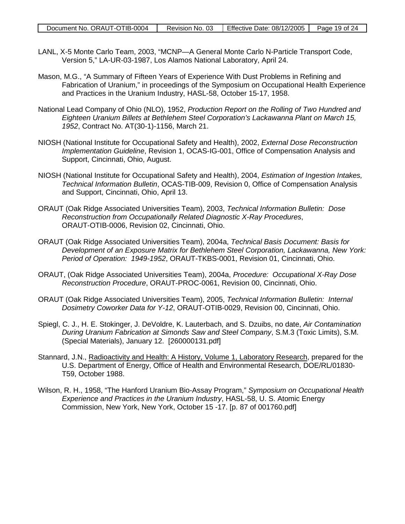- LANL, X-5 Monte Carlo Team, 2003, "MCNP—A General Monte Carlo N-Particle Transport Code, Version 5," LA-UR-03-1987, Los Alamos National Laboratory, April 24.
- Mason, M.G., "A Summary of Fifteen Years of Experience With Dust Problems in Refining and Fabrication of Uranium," in proceedings of the Symposium on Occupational Health Experience and Practices in the Uranium Industry, HASL-58, October 15-17, 1958.
- National Lead Company of Ohio (NLO), 1952, *Production Report on the Rolling of Two Hundred and Eighteen Uranium Billets at Bethlehem Steel Corporation's Lackawanna Plant on March 15, 1952*, Contract No. AT(30-1)-1156, March 21.
- NIOSH (National Institute for Occupational Safety and Health), 2002, *External Dose Reconstruction Implementation Guideline*, Revision 1, OCAS-IG-001, Office of Compensation Analysis and Support, Cincinnati, Ohio, August.
- NIOSH (National Institute for Occupational Safety and Health), 2004, *Estimation of Ingestion Intakes, Technical Information Bulletin*, OCAS-TIB-009, Revision 0, Office of Compensation Analysis and Support, Cincinnati, Ohio, April 13.
- ORAUT (Oak Ridge Associated Universities Team), 2003, *Technical Information Bulletin: Dose Reconstruction from Occupationally Related Diagnostic X-Ray Procedures*, ORAUT-OTIB-0006, Revision 02, Cincinnati, Ohio.
- ORAUT (Oak Ridge Associated Universities Team), 2004a, *Technical Basis Document: Basis for Development of an Exposure Matrix for Bethlehem Steel Corporation, Lackawanna, New York: Period of Operation: 1949-1952*, ORAUT-TKBS-0001, Revision 01, Cincinnati, Ohio.
- ORAUT, (Oak Ridge Associated Universities Team), 2004a, *Procedure: Occupational X-Ray Dose Reconstruction Procedure*, ORAUT-PROC-0061, Revision 00, Cincinnati, Ohio.
- ORAUT (Oak Ridge Associated Universities Team), 2005, *Technical Information Bulletin: Internal Dosimetry Coworker Data for Y-12*, ORAUT-OTIB-0029, Revision 00, Cincinnati, Ohio.
- Spiegl, C. J., H. E. Stokinger, J. DeVoldre, K. Lauterbach, and S. Dzuibs, no date, *Air Contamination During Uranium Fabrication at Simonds Saw and Steel Company*, S.M.3 (Toxic Limits), S.M. (Special Materials), January 12. [260000131.pdf]
- Stannard, J.N., Radioactivity and Health: A History, Volume 1, Laboratory Research, prepared for the U.S. Department of Energy, Office of Health and Environmental Research, DOE/RL/01830- T59, October 1988.
- Wilson, R. H., 1958, "The Hanford Uranium Bio-Assay Program," *Symposium on Occupational Health Experience and Practices in the Uranium Industry*, HASL-58, U. S. Atomic Energy Commission, New York, New York, October 15 -17. [p. 87 of 001760.pdf]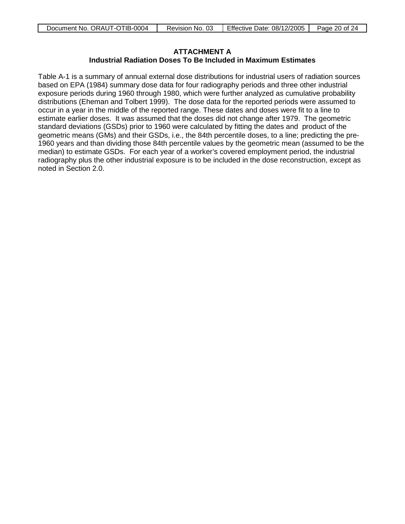| Document No. ORAUT-OTIB-0004 | Revision No. 03 | Effective Date: 08/12/2005 | Page 20 of 24 |
|------------------------------|-----------------|----------------------------|---------------|
|------------------------------|-----------------|----------------------------|---------------|

## <span id="page-19-0"></span>**ATTACHMENT A**

## **Industrial Radiation Doses To Be Included in Maximum Estimates**

Table A-1 is a summary of annual external dose distributions for industrial users of radiation sources based on EPA (1984) summary dose data for four radiography periods and three other industrial exposure periods during 1960 through 1980, which were further analyzed as cumulative probability distributions (Eheman and Tolbert 1999). The dose data for the reported periods were assumed to occur in a year in the middle of the reported range. These dates and doses were fit to a line to estimate earlier doses. It was assumed that the doses did not change after 1979. The geometric standard deviations (GSDs) prior to 1960 were calculated by fitting the dates and product of the geometric means (GMs) and their GSDs, i.e., the 84th percentile doses, to a line; predicting the pre-1960 years and than dividing those 84th percentile values by the geometric mean (assumed to be the median) to estimate GSDs. For each year of a worker's covered employment period, the industrial radiography plus the other industrial exposure is to be included in the dose reconstruction, except as noted in Section 2.0.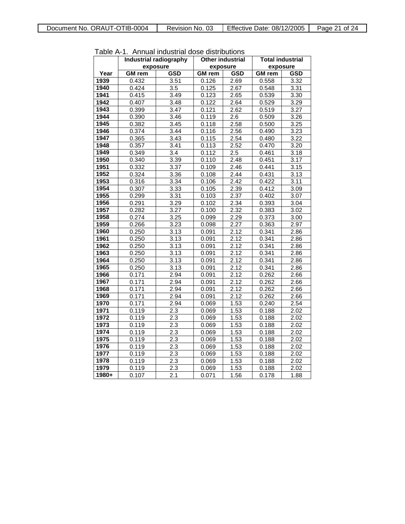| Table A-1. Annual industrial dose distributions |               |                               |                         |                   |                         |                   |
|-------------------------------------------------|---------------|-------------------------------|-------------------------|-------------------|-------------------------|-------------------|
|                                                 |               | <b>Industrial radiography</b> | <b>Other industrial</b> |                   | <b>Total industrial</b> |                   |
|                                                 | exposure      |                               | exposure                |                   | exposure                |                   |
| Year                                            | <b>GM</b> rem | <b>GSD</b>                    | <b>GM</b> rem           | <b>GSD</b>        | <b>GM</b> rem           | <b>GSD</b>        |
| 1939                                            | 0.432         | 3.51                          | 0.126                   | 2.69              | 0.558                   | 3.32              |
| 1940                                            | 0.424         | $\overline{3.5}$              | 0.125                   | 2.67              | 0.548                   | 3.31              |
| 1941                                            | 0.415         | 3.49                          | 0.123                   | 2.65              | 0.539                   | 3.30              |
| 1942                                            | 0.407         | 3.48                          | 0.122                   | 2.64              | 0.529                   | 3.29              |
| 1943                                            | 0.399         | 3.47                          | 0.121                   | 2.62              | 0.519                   | 3.27              |
| 1944                                            | 0.390         | 3.46                          | 0.119                   | $\overline{2.6}$  | 0.509                   | 3.26              |
| 1945                                            | 0.382         | 3.45                          | 0.118                   | 2.58              | 0.500                   | 3.25              |
| 1946                                            | 0.374         | 3.44                          | 0.116                   | 2.56              | 0.490                   | 3.23              |
| 1947                                            | 0.365         | 3.43                          | 0.115                   | 2.54              | 0.480                   | 3.22              |
| 1948                                            | 0.357         | 3.41                          | 0.113                   | 2.52              | 0.470                   | 3.20              |
| 1949                                            | 0.349         | 3.4                           | 0.112                   | $\overline{2.5}$  | 0.461                   | 3.18              |
| 1950                                            | 0.340         | 3.39                          | 0.110                   | 2.48              | 0.451                   | 3.17              |
| 1951                                            | 0.332         | 3.37                          | 0.109                   | 2.46              | 0.441                   | 3.15              |
| 1952                                            | 0.324         | 3.36                          | 0.108                   | 2.44              | 0.431                   | 3.13              |
| 1953                                            | 0.316         | 3.34                          | 0.106                   | 2.42              | 0.422                   | 3.11              |
| 1954                                            | 0.307         | 3.33                          | 0.105                   | 2.39              | 0.412                   | 3.09              |
| 1955                                            | 0.299         | 3.31                          | 0.103                   | 2.37              | 0.402                   | 3.07              |
| 1956                                            | 0.291         | 3.29                          | 0.102                   | 2.34              | 0.393                   | $\overline{3.04}$ |
| 1957                                            | 0.282         | 3.27                          | 0.100                   | 2.32              | 0.383                   | 3.02              |
| 1958                                            | 0.274         | 3.25                          | 0.099                   | 2.29              | 0.373                   | 3.00              |
| 1959                                            | 0.266         | 3.23                          | 0.098                   | 2.27              | 0.363                   | 2.97              |
| 1960                                            | 0.250         | 3.13                          | 0.091                   | 2.12              | 0.341                   | 2.86              |
| 1961                                            | 0.250         | 3.13                          | 0.091                   | 2.12              | 0.341                   | 2.86              |
| 1962                                            | 0.250         | 3.13                          | 0.091                   | 2.12              | 0.341                   | 2.86              |
| 1963                                            | 0.250         | 3.13                          | 0.091                   | 2.12              | 0.341                   | 2.86              |
| 1964                                            | 0.250         | 3.13                          | 0.091                   | 2.12              | 0.341                   | 2.86              |
| 1965                                            | 0.250         | 3.13                          | 0.091                   | 2.12              | 0.341                   | 2.86              |
| 1966                                            | 0.171         | 2.94                          | 0.091                   | 2.12              | 0.262                   | 2.66              |
| 1967                                            | 0.171         | 2.94                          | 0.091                   | 2.12              | 0.262                   | 2.66              |
| 1968                                            | 0.171         | 2.94                          | 0.091                   | 2.12              | 0.262                   | 2.66              |
| 1969                                            | 0.171         | 2.94                          | 0.091                   | 2.12              | 0.262                   | 2.66              |
| 1970                                            | 0.171         | 2.94                          | 0.069                   | 1.53              | 0.240                   | 2.54              |
| 1971                                            | 0.119         | 2.3                           | 0.069                   | $\overline{1}.53$ | 0.188                   | 2.02              |
| 1972                                            | 0.119         | 2.3                           | 0.069                   | 1.53              | 0.188                   | 2.02              |
| 1973                                            | 0.119         | 2.3                           | 0.069                   | 1.53              | 0.188                   | 2.02              |
| 1974                                            | 0.119         | 2.3                           | 0.069                   | 1.53              | 0.188                   | 2.02              |
| 1975                                            | 0.119         | 2.3                           | 0.069                   | 1.53              | 0.188                   | 2.02              |
| 1976                                            | 0.119         | 2.3                           | 0.069                   | 1.53              | 0.188                   | 2.02              |
| 1977                                            | 0.119         | 2.3                           | 0.069                   | 1.53              | 0.188                   | 2.02              |
| 1978                                            | 0.119         | $\overline{2.3}$              | 0.069                   | 1.53              | 0.188                   | 2.02              |
| 1979                                            | 0.119         | 2.3                           | 0.069                   | 1.53              | 0.188                   | 2.02              |
| 1980+                                           | 0.107         | 2.1                           | 0.071                   | 1.56              | 0.178                   | 1.88              |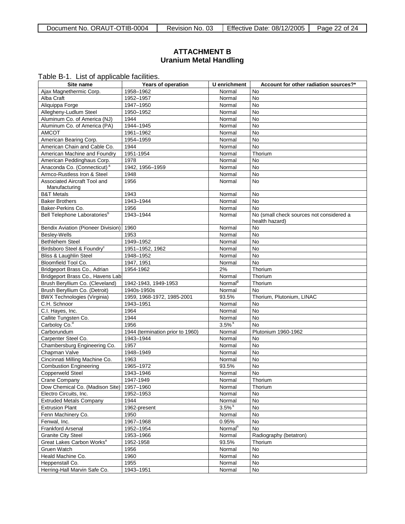## <span id="page-21-0"></span>**ATTACHMENT B Uranium Metal Handling**

Table B-1. List of applicable facilities.

| Site name                                                          | Years of operation               | U enrichment        | Account for other radiation sources?*    |
|--------------------------------------------------------------------|----------------------------------|---------------------|------------------------------------------|
| Ajax Magnethermic Corp.                                            | 1958-1962                        | Normal              | <b>No</b>                                |
| Alba Craft                                                         | 1952-1957                        | Normal              | <b>No</b>                                |
| Aliquippa Forge                                                    | 1947-1950                        | Normal              | <b>No</b>                                |
| Allegheny-Ludlum Steel                                             | 1950-1952                        | Normal              | <b>No</b>                                |
| Aluminum Co. of America (NJ)                                       | 1944                             | Normal              | <b>No</b>                                |
| Aluminum Co. of America (PA)                                       | 1944-1945                        | Normal              | No                                       |
| <b>AMCOT</b>                                                       | 1961-1962                        | Normal              | No                                       |
| American Bearing Corp.                                             | 1954-1959                        | Normal              | No                                       |
| American Chain and Cable Co.                                       | 1944                             | Normal              | <b>No</b>                                |
| American Machine and Foundry                                       | 1951-1954                        | Normal              | Thorium                                  |
| American Peddinghaus Corp.                                         | 1978                             | Normal              | No                                       |
| Anaconda Co. (Connecticut) <sup>a</sup>                            | 1942. 1956-1959                  | Normal              | No                                       |
| Armco-Rustless Iron & Steel                                        | 1948                             | Normal              | <b>No</b>                                |
| Associated Aircraft Tool and                                       | 1956                             | Normal              | <b>No</b>                                |
| Manufacturing                                                      |                                  |                     |                                          |
| <b>B&amp;T Metals</b>                                              | 1943                             | Normal              | No                                       |
| <b>Baker Brothers</b>                                              | 1943-1944                        | Normal              | No                                       |
| Baker-Perkins Co.                                                  | 1956                             | Normal              | <b>No</b>                                |
| Bell Telephone Laboratories <sup>b</sup>                           | 1943-1944                        | Normal              | No (small check sources not considered a |
|                                                                    |                                  |                     | health hazard)                           |
| <b>Bendix Aviation (Pioneer Division)</b>                          | 1960                             | Normal              | No                                       |
| Besley-Wells                                                       | 1953                             | Normal              | No                                       |
| <b>Bethlehem Steel</b>                                             | 1949-1952                        | Normal              | <b>No</b>                                |
| Birdsboro Steel & Foundry <sup>c</sup>                             | 1951-1952, 1962                  | Normal              | <b>No</b>                                |
| Bliss & Laughlin Steel                                             | 1948-1952                        | Normal              | No                                       |
| Bloomfield Tool Co.                                                | 1947, 1951                       | Normal              | <b>No</b>                                |
| Bridgeport Brass Co., Adrian                                       | 1954-1962                        | 2%                  | Thorium                                  |
| Bridgeport Brass Co., Havens Lab                                   |                                  | Normal              | Thorium                                  |
| Brush Beryllium Co. (Cleveland)                                    | 1942-1943, 1949-1953             | Normal <sup>9</sup> | Thorium                                  |
| Brush Beryllium Co. (Detroit)                                      | 1940s-1950s                      | Normal              | <b>No</b>                                |
| <b>BWX Technologies (Virginia)</b>                                 | 1959, 1968-1972, 1985-2001       | 93.5%               | Thorium, Plutonium, LINAC                |
| C.H. Schnoor                                                       | 1943-1951                        | Normal              | No                                       |
| C.I. Hayes, Inc.                                                   | 1964                             | Normal              | No                                       |
| Callite Tungsten Co.                                               | 1944                             | Normal              | <b>No</b>                                |
| Carboloy Co. <sup>d</sup>                                          | 1956                             | 3.5%                | <b>No</b>                                |
| Carborundum                                                        | 1944 (termination prior to 1960) | Normal              | Plutonium 1960-1962                      |
| Carpenter Steel Co.                                                | 1943-1944                        | Normal              | No                                       |
| Chambersburg Engineering Co.                                       | 1957                             | Normal              | <b>No</b>                                |
| Chapman Valve                                                      | 1948-1949                        | Normal              | <b>No</b>                                |
| Cincinnati Milling Machine Co.                                     | 1963                             | Normal              | <b>No</b>                                |
| <b>Combustion Engineering</b>                                      | 1965-1972                        | 93.5%               | No                                       |
| <b>Copperweld Steel</b>                                            | 1943-1946                        | Normal              | <b>No</b>                                |
| Crane Company                                                      | 1947-1949                        | Normal              | Thorium                                  |
| Dow Chemical Co. (Madison Site)                                    | 1957-1960                        | Normal              | Thorium                                  |
| Electro Circuits, Inc.                                             | 1952-1953                        | Normal              | No                                       |
| <b>Extruded Metals Company</b>                                     | 1944                             | Normal              | No                                       |
| <b>Extrusion Plant</b>                                             | 1962-present                     | 3.5%                | No                                       |
| Fenn Machinery Co.                                                 | 1950                             | Normal              | No                                       |
| Fenwal, Inc.                                                       | 1967-1968                        | 0.95%               | No                                       |
| Frankford Arsenal                                                  | 1952-1954                        | Normal <sup>h</sup> | No                                       |
|                                                                    |                                  |                     |                                          |
| <b>Granite City Steel</b><br>Great Lakes Carbon Works <sup>e</sup> | 1953-1966<br>1952-1958           | Normal<br>93.5%     | Radiography (betatron)<br>Thorium        |
| Gruen Watch                                                        | 1956                             | Normal              | No                                       |
| Heald Machine Co.                                                  | 1960                             | Normal              | No                                       |
| Heppenstall Co.                                                    | 1955                             | Normal              | No                                       |
|                                                                    |                                  |                     |                                          |
| Herring-Hall Marvin Safe Co.                                       | 1943-1951                        | Normal              | No                                       |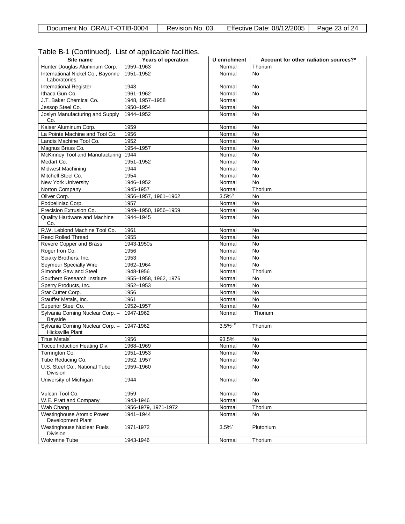| rable D-T (Committed). List or applicable racifities.       |                       |                         |                                       |
|-------------------------------------------------------------|-----------------------|-------------------------|---------------------------------------|
| Site name                                                   | Years of operation    | U enrichment            | Account for other radiation sources?* |
| Hunter Douglas Aluminum Corp.                               | 1959-1963             | Normal                  | Thorium                               |
| International Nickel Co., Bayonne<br>Laboratories           | 1951-1952             | Normal                  | <b>No</b>                             |
| <b>International Register</b>                               | 1943                  | Normal                  | <b>No</b>                             |
| Ithaca Gun Co.                                              | 1961-1962             | Normal                  | No                                    |
| J.T. Baker Chemical Co.                                     | 1948. 1957-1958       | Normal                  |                                       |
| Jessop Steel Co.                                            | 1950-1954             | Normal                  | No                                    |
| Joslyn Manufacturing and Supply<br>Co.                      | 1944-1952             | Normal                  | No                                    |
| Kaiser Aluminum Corp.                                       | 1959                  | Normal                  | No                                    |
| La Pointe Machine and Tool Co.                              | 1956                  | Normal                  | <b>No</b>                             |
| Landis Machine Tool Co.                                     | 1952                  | Normal                  | <b>No</b>                             |
| Magnus Brass Co.                                            | 1954-1957             | Normal                  | <b>No</b>                             |
| McKinney Tool and Manufacturing                             | 1944                  | Normal                  | <b>No</b>                             |
| Medart Co.                                                  | 1951-1952             | Normal                  | <b>No</b>                             |
| <b>Midwest Machining</b>                                    | 1944                  | Normal                  | <b>No</b>                             |
| Mitchell Steel Co.                                          | 1954                  | Normal                  | <b>No</b>                             |
| <b>New York University</b>                                  | 1946-1952             | Normal                  | <b>No</b>                             |
| Norton Company                                              | 1945-1957             | Normal                  | Thorium                               |
| Oliver Corp.                                                | 1956-1957, 1961-1962  | 3.5%                    | No                                    |
| Podbeliniac Corp.                                           | 1957                  | Normal                  | <b>No</b>                             |
| Precision Extrusion Co.                                     | 1949-1950, 1956-1959  | Normal                  | <b>No</b>                             |
| <b>Quality Hardware and Machine</b><br>Co.                  | 1944-1945             | Normal                  | <b>No</b>                             |
| R.W. Leblond Machine Tool Co.                               | 1961                  | Normal                  | <b>No</b>                             |
| <b>Reed Rolled Thread</b>                                   | 1955                  | Normal                  | <b>No</b>                             |
| Revere Copper and Brass                                     | 1943-1950s            | Normal                  | <b>No</b>                             |
| Roger Iron Co.                                              | 1956                  | Normal                  | <b>No</b>                             |
| Sciaky Brothers, Inc.                                       | 1953                  | Normal                  | <b>No</b>                             |
| Seymour Specialty Wire                                      | 1962-1964             | Normal                  | <b>No</b>                             |
| Simonds Saw and Steel                                       | 1948-1956             | Normal                  | Thorium                               |
| Southern Research Institute                                 | 1955-1958, 1962, 1976 | Normal                  | No                                    |
| Sperry Products, Inc.                                       | 1952-1953             | Normal                  | <b>No</b>                             |
| Star Cutter Corp.                                           | 1956                  | Normal                  | <b>No</b>                             |
| Stauffer Metals, Inc.                                       | 1961                  | Normal                  | <b>No</b>                             |
| Superior Steel Co.                                          | 1952-1957             | Normal <sup>'</sup>     | <b>No</b>                             |
| Sylvania Corning Nuclear Corp. -<br>Bayside                 | 1947-1962             | Normal                  | Thorium                               |
| Sylvania Corning Nuclear Corp. -<br><b>Hicksville Plant</b> | 1947-1962             | $3.5\%$ <sup>j, k</sup> | Thorium                               |
| Titus Metals <sup>f</sup>                                   | 1956                  | 93.5%                   | No                                    |
| Tocco Induction Heating Div.                                | 1968-1969             | Normal                  | No                                    |
| Torrington Co.                                              | 1951-1953             | Normal                  | No                                    |
| Tube Reducing Co.                                           | 1952, 1957            | Normal                  | No                                    |
| U.S. Steel Co., National Tube<br>Division                   | 1959-1960             | Normal                  | No                                    |
| University of Michigan                                      | 1944                  | Normal                  | No                                    |
|                                                             |                       |                         |                                       |
| Vulcan Tool Co.                                             | 1959                  | Normal                  | No                                    |
| W.E. Pratt and Company                                      | 1943-1946             | Normal                  | No                                    |
| Wah Chang                                                   | 1956-1979, 1971-1972  | Normal                  | Thorium                               |
| Westinghouse Atomic Power                                   | 1941-1944             | Normal                  | <b>No</b>                             |
| Development Plant                                           |                       |                         |                                       |
| <b>Westinghouse Nuclear Fuels</b><br>Division               | 1971-1972             | 3.5%                    | Plutonium                             |
| <b>Wolverine Tube</b>                                       | 1943-1946             | Normal                  | Thorium                               |

### Table B-1 (Continued). List of applicable facilities.